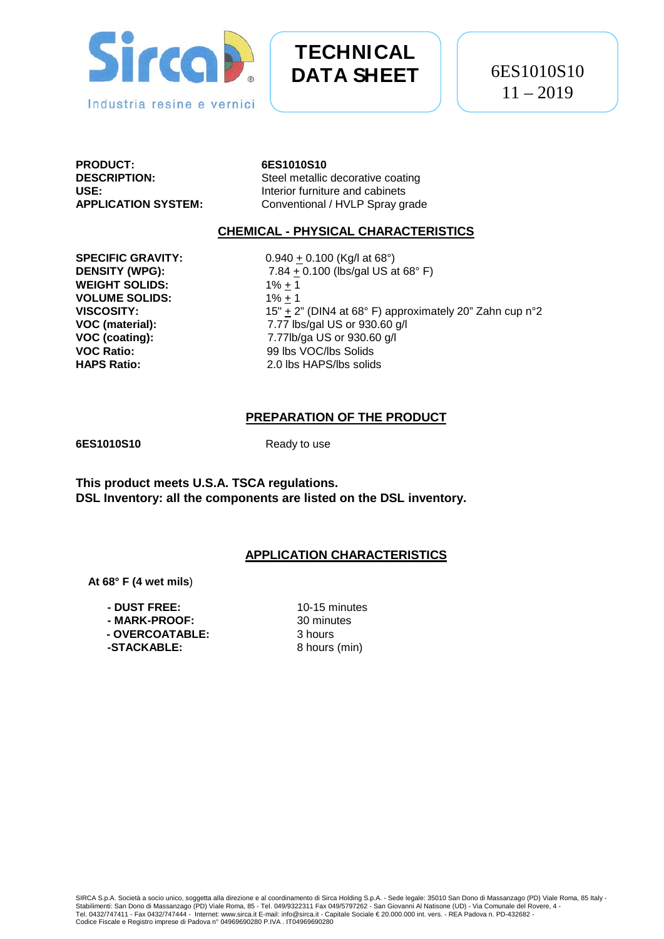

# **TECHNICAL DATA SHEET**

**PRODUCT:** 6ES1010S10<br>DESCRIPTION: Steel metallic

**DESCRIPTION:** Steel metallic decorative coating<br>
USE: Interior furniture and cabinets **USE:**<br> **APPLICATION SYSTEM:**<br> **Conventional / HVLP Spray g** Conventional / HVLP Spray grade

#### **CHEMICAL - PHYSICAL CHARACTERISTICS**

**WEIGHT SOLIDS:** 1% <u>+</u> 1<br> **VOLUME SOLIDS:** 1% <u>+</u> 1 **VOLUME SOLIDS:**<br>VISCOSITY:

**SPECIFIC GRAVITY:**  $0.940 \pm 0.100$  (Kg/l at 68°) **DENSITY (WPG):** 7.84 + 0.100 (lbs/gal US at 68° F) **VISCOSITY:** 15"  $\pm$  2" (DIN4 at 68° F) approximately 20" Zahn cup n°2<br>**VOC (material):** 7.77 lbs/gal US or 930.60 g/l **VOC (material): 7.77 lbs/gal US or 930.60 g/l VOC (coating): 7.77 lbs/gal US or 930.60 g/l VOC (coating): VOC (coating):**  $\begin{array}{ccc} 7.77 \text{lb/ga US or } 930.60 \text{ g/l} \\ \text{VOC Ratio:} & 99 \text{ lbs VOC/lbs Solids} \end{array}$ **VOC Ratio:** 99 lbs VOC/lbs Solids<br> **HAPS Ratio:** 2.0 lbs HAPS/lbs solid 2.0 lbs HAPS/lbs solids

# **PREPARATION OF THE PRODUCT**

**6ES1010S10** Ready to use

**This product meets U.S.A. TSCA regulations. DSL Inventory: all the components are listed on the DSL inventory.**

# **APPLICATION CHARACTERISTICS**

 **At 68° F (4 wet mils**)

**- DUST FREE:** 10-15 minutes  $-$  **MARK-PROOF: - OVERCOATABLE:** 3 hours **-STACKABLE:** 8 hours (min)